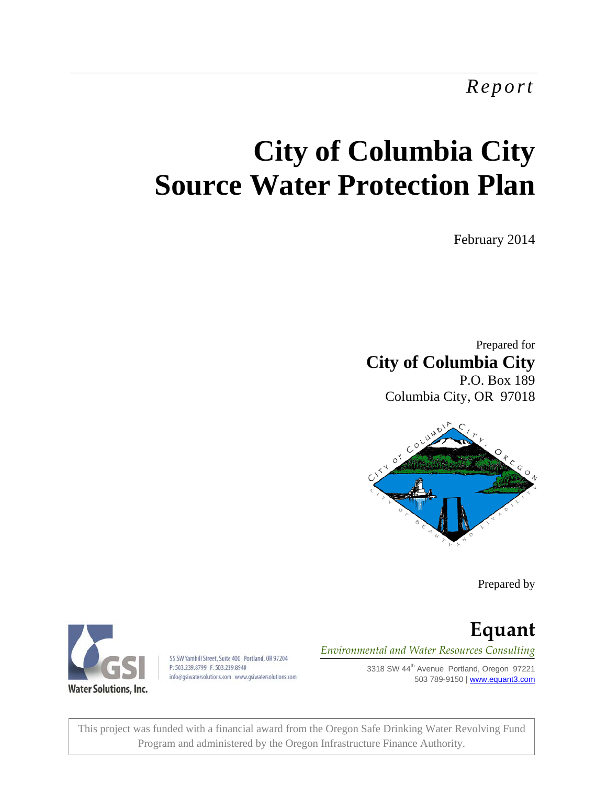*Report* 

# **City of Columbia City Source Water Protection Plan**

February 2014

Prepared for **City of Columbia City**  P.O. Box 189 Columbia City, OR 97018



Prepared by



55 SW Yamhill Street, Suite 400 Portland, OR 97204 P: 503.239.8799 F: 503.239.8940 info@gsiwatersolutions.com www.gsiwatersolutions.com

**Equant** *Environmental and Water Resources Consulting*

> 3318 SW 44<sup>th</sup> Avenue Portland, Oregon 97221 503 789-9150 | www.equant3.com

This project was funded with a financial award from the Oregon Safe Drinking Water Revolving Fund Program and administered by the Oregon Infrastructure Finance Authority.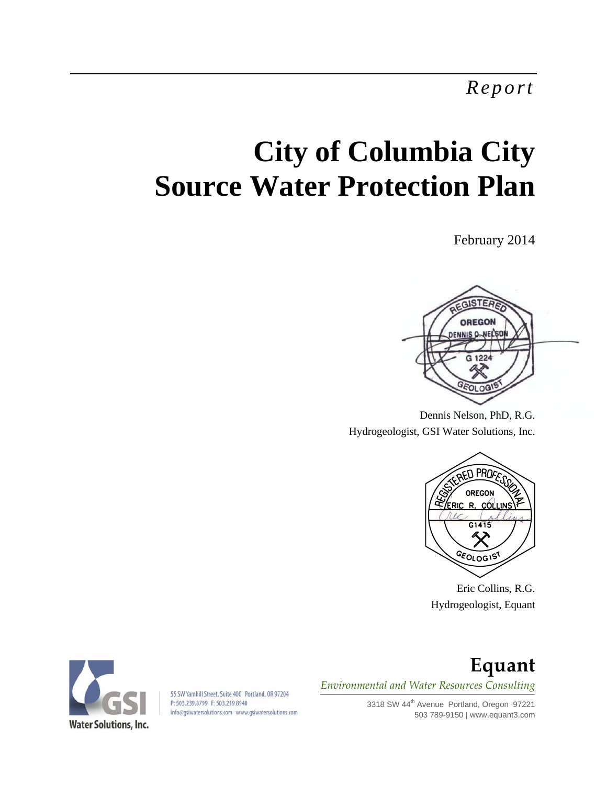*Report* 

# **City of Columbia City Source Water Protection Plan**

February 2014



Dennis Nelson, PhD, R.G. Hydrogeologist, GSI Water Solutions, Inc.



Eric Collins, R.G. Hydrogeologist, Equant



55 SW Yamhill Street, Suite 400 Portland, OR 97204 P: 503.239.8799 F: 503.239.8940 info@qsiwatersolutions.com www.qsiwatersolutions.com

# **Equant** *Environmental and Water Resources Consulting*

3318 SW 44<sup>th</sup> Avenue Portland, Oregon 97221 503 789-9150 | www.equant3.com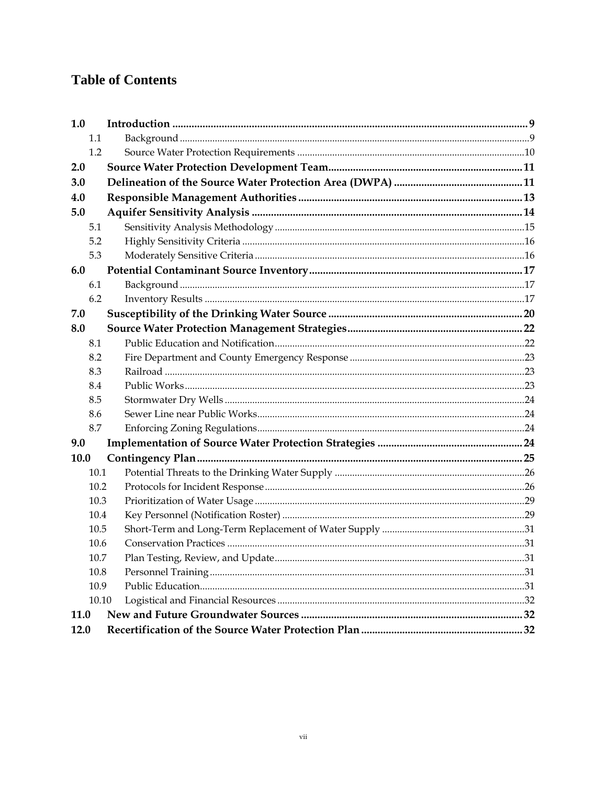# **Table of Contents**

| 1.0   |  |     |
|-------|--|-----|
| 1.1   |  |     |
| 1.2   |  |     |
| 2.0   |  |     |
| 3.0   |  |     |
| 4.0   |  |     |
| 5.0   |  |     |
| 5.1   |  |     |
| 5.2   |  |     |
| 5.3   |  |     |
| 6.0   |  |     |
| 6.1   |  |     |
| 6.2   |  |     |
| 7.0   |  |     |
| 8.0   |  |     |
| 8.1   |  |     |
| 8.2   |  |     |
| 8.3   |  |     |
| 8.4   |  |     |
| 8.5   |  |     |
| 8.6   |  |     |
| 8.7   |  |     |
| 9.0   |  |     |
| 10.0  |  |     |
| 10.1  |  |     |
| 10.2  |  |     |
| 10.3  |  |     |
| 10.4  |  |     |
| 10.5  |  |     |
| 10.6  |  |     |
| 10.7  |  | .31 |
| 10.8  |  |     |
| 10.9  |  |     |
| 10.10 |  |     |
| 11.0  |  |     |
| 12.0  |  |     |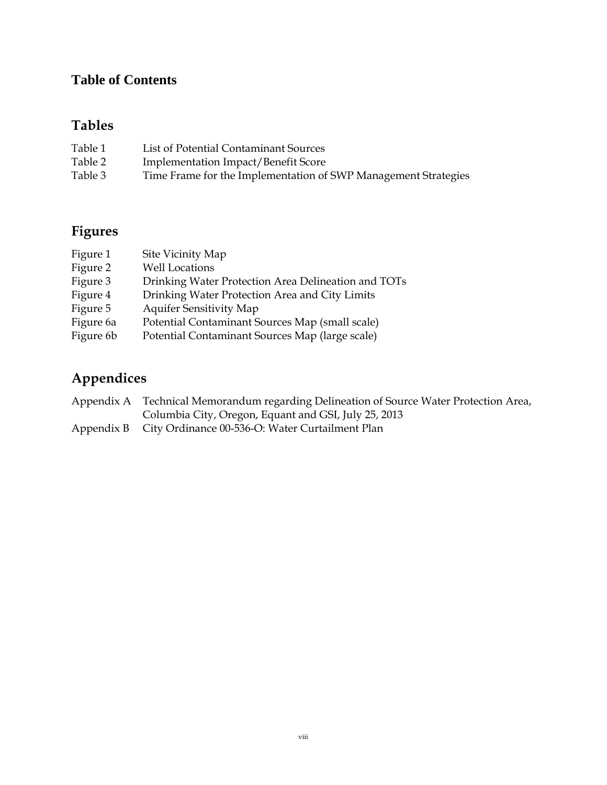# **Table of Contents**

# **Tables**

| Table 1 | List of Potential Contaminant Sources                          |
|---------|----------------------------------------------------------------|
| Table 2 | <b>Implementation Impact/Benefit Score</b>                     |
| Table 3 | Time Frame for the Implementation of SWP Management Strategies |

# **Figures**

| Figure 1  | Site Vicinity Map                                   |
|-----------|-----------------------------------------------------|
| Figure 2  | <b>Well Locations</b>                               |
| Figure 3  | Drinking Water Protection Area Delineation and TOTs |
| Figure 4  | Drinking Water Protection Area and City Limits      |
| Figure 5  | <b>Aquifer Sensitivity Map</b>                      |
| Figure 6a | Potential Contaminant Sources Map (small scale)     |
| Figure 6b | Potential Contaminant Sources Map (large scale)     |

# **Appendices**

| Appendix A Technical Memorandum regarding Delineation of Source Water Protection Area, |
|----------------------------------------------------------------------------------------|
| Columbia City, Oregon, Equant and GSI, July 25, 2013                                   |
| Appendix B City Ordinance 00-536-O: Water Curtailment Plan                             |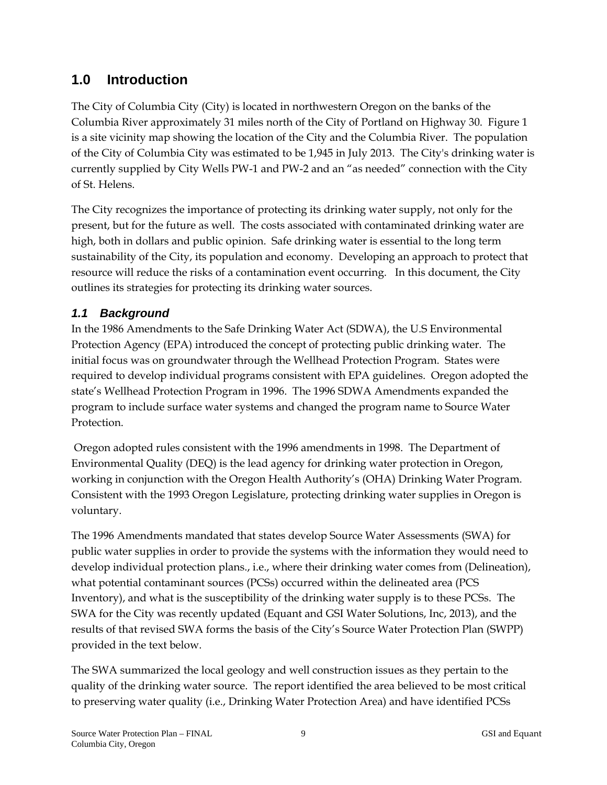## **1.0 Introduction**

The City of Columbia City (City) is located in northwestern Oregon on the banks of the Columbia River approximately 31 miles north of the City of Portland on Highway 30. Figure 1 is a site vicinity map showing the location of the City and the Columbia River. The population of the City of Columbia City was estimated to be 1,945 in July 2013. The City's drinking water is currently supplied by City Wells PW-1 and PW-2 and an "as needed" connection with the City of St. Helens.

The City recognizes the importance of protecting its drinking water supply, not only for the present, but for the future as well. The costs associated with contaminated drinking water are high, both in dollars and public opinion. Safe drinking water is essential to the long term sustainability of the City, its population and economy. Developing an approach to protect that resource will reduce the risks of a contamination event occurring. In this document, the City outlines its strategies for protecting its drinking water sources.

## *1.1 Background*

In the 1986 Amendments to the Safe Drinking Water Act (SDWA), the U.S Environmental Protection Agency (EPA) introduced the concept of protecting public drinking water. The initial focus was on groundwater through the Wellhead Protection Program. States were required to develop individual programs consistent with EPA guidelines. Oregon adopted the state's Wellhead Protection Program in 1996. The 1996 SDWA Amendments expanded the program to include surface water systems and changed the program name to Source Water Protection.

 Oregon adopted rules consistent with the 1996 amendments in 1998. The Department of Environmental Quality (DEQ) is the lead agency for drinking water protection in Oregon, working in conjunction with the Oregon Health Authority's (OHA) Drinking Water Program. Consistent with the 1993 Oregon Legislature, protecting drinking water supplies in Oregon is voluntary.

The 1996 Amendments mandated that states develop Source Water Assessments (SWA) for public water supplies in order to provide the systems with the information they would need to develop individual protection plans., i.e., where their drinking water comes from (Delineation), what potential contaminant sources (PCSs) occurred within the delineated area (PCS Inventory), and what is the susceptibility of the drinking water supply is to these PCSs. The SWA for the City was recently updated (Equant and GSI Water Solutions, Inc, 2013), and the results of that revised SWA forms the basis of the City's Source Water Protection Plan (SWPP) provided in the text below.

The SWA summarized the local geology and well construction issues as they pertain to the quality of the drinking water source. The report identified the area believed to be most critical to preserving water quality (i.e., Drinking Water Protection Area) and have identified PCSs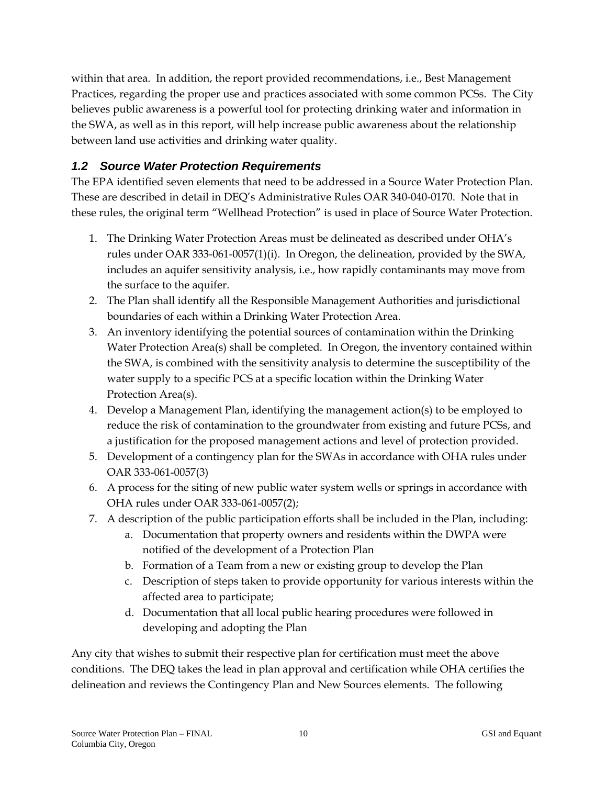within that area. In addition, the report provided recommendations, i.e., Best Management Practices, regarding the proper use and practices associated with some common PCSs. The City believes public awareness is a powerful tool for protecting drinking water and information in the SWA, as well as in this report, will help increase public awareness about the relationship between land use activities and drinking water quality.

## *1.2 Source Water Protection Requirements*

The EPA identified seven elements that need to be addressed in a Source Water Protection Plan. These are described in detail in DEQ's Administrative Rules OAR 340-040-0170. Note that in these rules, the original term "Wellhead Protection" is used in place of Source Water Protection.

- 1. The Drinking Water Protection Areas must be delineated as described under OHA's rules under OAR 333-061-0057(1)(i). In Oregon, the delineation, provided by the SWA, includes an aquifer sensitivity analysis, i.e., how rapidly contaminants may move from the surface to the aquifer.
- 2. The Plan shall identify all the Responsible Management Authorities and jurisdictional boundaries of each within a Drinking Water Protection Area.
- 3. An inventory identifying the potential sources of contamination within the Drinking Water Protection Area(s) shall be completed. In Oregon, the inventory contained within the SWA, is combined with the sensitivity analysis to determine the susceptibility of the water supply to a specific PCS at a specific location within the Drinking Water Protection Area(s).
- 4. Develop a Management Plan, identifying the management action(s) to be employed to reduce the risk of contamination to the groundwater from existing and future PCSs, and a justification for the proposed management actions and level of protection provided.
- 5. Development of a contingency plan for the SWAs in accordance with OHA rules under OAR 333-061-0057(3)
- 6. A process for the siting of new public water system wells or springs in accordance with OHA rules under OAR 333-061-0057(2);
- 7. A description of the public participation efforts shall be included in the Plan, including:
	- a. Documentation that property owners and residents within the DWPA were notified of the development of a Protection Plan
	- b. Formation of a Team from a new or existing group to develop the Plan
	- c. Description of steps taken to provide opportunity for various interests within the affected area to participate;
	- d. Documentation that all local public hearing procedures were followed in developing and adopting the Plan

Any city that wishes to submit their respective plan for certification must meet the above conditions. The DEQ takes the lead in plan approval and certification while OHA certifies the delineation and reviews the Contingency Plan and New Sources elements. The following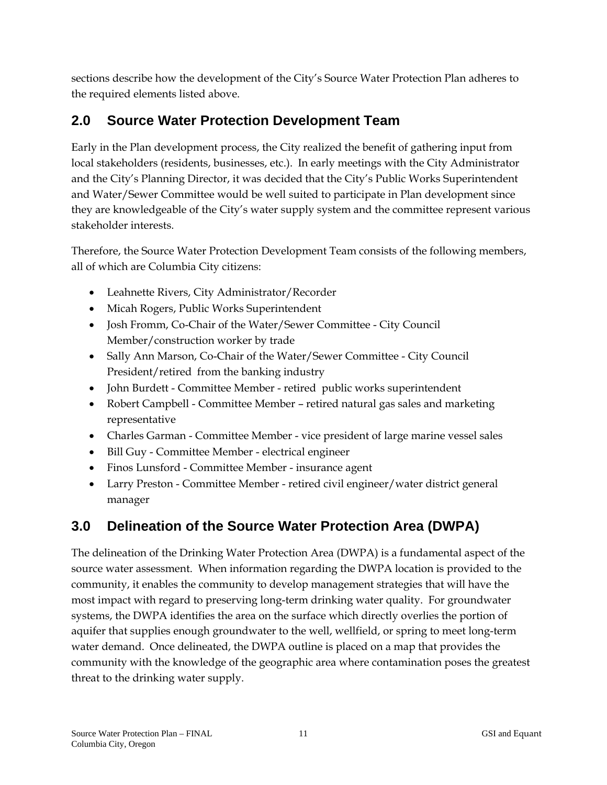sections describe how the development of the City's Source Water Protection Plan adheres to the required elements listed above.

# **2.0 Source Water Protection Development Team**

Early in the Plan development process, the City realized the benefit of gathering input from local stakeholders (residents, businesses, etc.). In early meetings with the City Administrator and the City's Planning Director, it was decided that the City's Public Works Superintendent and Water/Sewer Committee would be well suited to participate in Plan development since they are knowledgeable of the City's water supply system and the committee represent various stakeholder interests.

Therefore, the Source Water Protection Development Team consists of the following members, all of which are Columbia City citizens:

- Leahnette Rivers, City Administrator/Recorder
- Micah Rogers, Public Works Superintendent
- Josh Fromm, Co-Chair of the Water/Sewer Committee City Council Member/construction worker by trade
- Sally Ann Marson, Co-Chair of the Water/Sewer Committee City Council President/retired from the banking industry
- John Burdett Committee Member retired public works superintendent
- Robert Campbell Committee Member retired natural gas sales and marketing representative
- Charles Garman Committee Member vice president of large marine vessel sales
- Bill Guy Committee Member electrical engineer
- Finos Lunsford Committee Member insurance agent
- Larry Preston Committee Member retired civil engineer/water district general manager

# **3.0 Delineation of the Source Water Protection Area (DWPA)**

The delineation of the Drinking Water Protection Area (DWPA) is a fundamental aspect of the source water assessment. When information regarding the DWPA location is provided to the community, it enables the community to develop management strategies that will have the most impact with regard to preserving long-term drinking water quality. For groundwater systems, the DWPA identifies the area on the surface which directly overlies the portion of aquifer that supplies enough groundwater to the well, wellfield, or spring to meet long-term water demand. Once delineated, the DWPA outline is placed on a map that provides the community with the knowledge of the geographic area where contamination poses the greatest threat to the drinking water supply.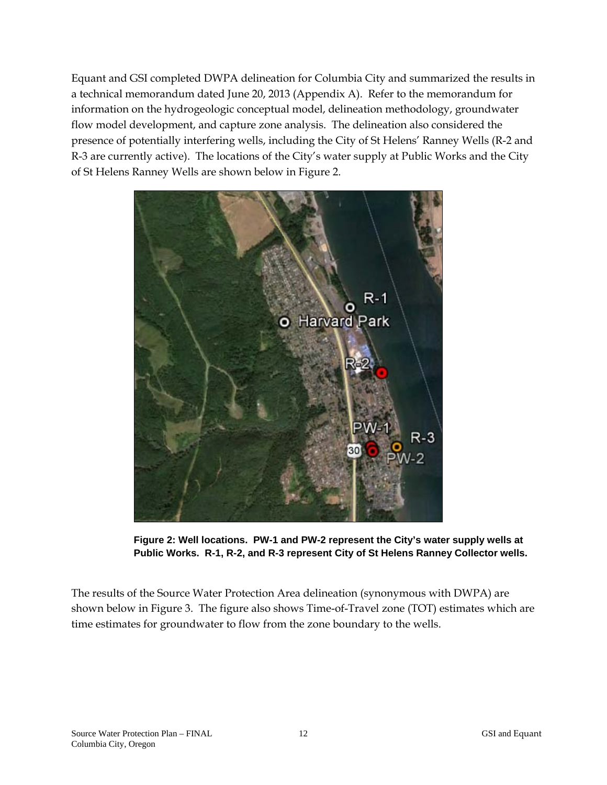Equant and GSI completed DWPA delineation for Columbia City and summarized the results in a technical memorandum dated June 20, 2013 (Appendix A). Refer to the memorandum for information on the hydrogeologic conceptual model, delineation methodology, groundwater flow model development, and capture zone analysis. The delineation also considered the presence of potentially interfering wells, including the City of St Helens' Ranney Wells (R-2 and R-3 are currently active). The locations of the City's water supply at Public Works and the City of St Helens Ranney Wells are shown below in Figure 2.



**Figure 2: Well locations. PW-1 and PW-2 represent the City's water supply wells at Public Works. R-1, R-2, and R-3 represent City of St Helens Ranney Collector wells.** 

The results of the Source Water Protection Area delineation (synonymous with DWPA) are shown below in Figure 3. The figure also shows Time-of-Travel zone (TOT) estimates which are time estimates for groundwater to flow from the zone boundary to the wells.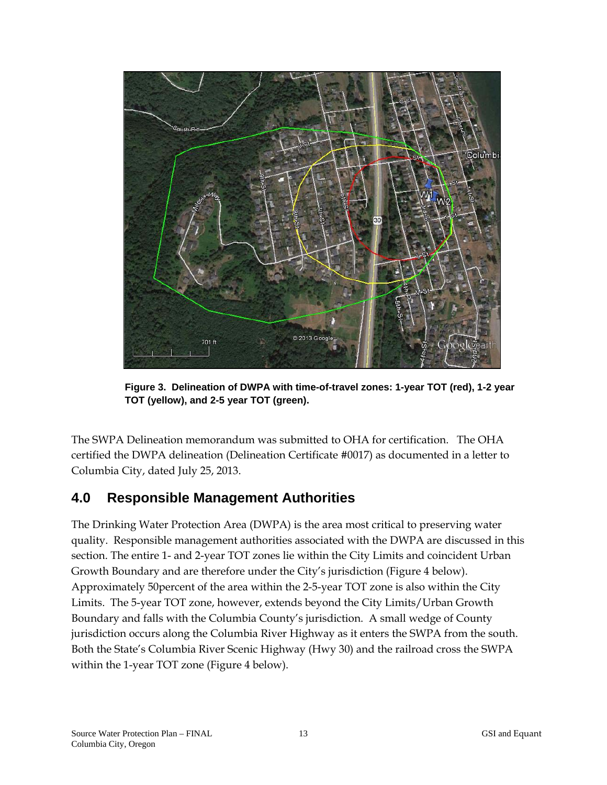

**Figure 3. Delineation of DWPA with time-of-travel zones: 1-year TOT (red), 1-2 year TOT (yellow), and 2-5 year TOT (green).** 

The SWPA Delineation memorandum was submitted to OHA for certification. The OHA certified the DWPA delineation (Delineation Certificate #0017) as documented in a letter to Columbia City, dated July 25, 2013.

## **4.0 Responsible Management Authorities**

The Drinking Water Protection Area (DWPA) is the area most critical to preserving water quality. Responsible management authorities associated with the DWPA are discussed in this section. The entire 1- and 2-year TOT zones lie within the City Limits and coincident Urban Growth Boundary and are therefore under the City's jurisdiction (Figure 4 below). Approximately 50percent of the area within the 2-5-year TOT zone is also within the City Limits. The 5-year TOT zone, however, extends beyond the City Limits/Urban Growth Boundary and falls with the Columbia County's jurisdiction. A small wedge of County jurisdiction occurs along the Columbia River Highway as it enters the SWPA from the south. Both the State's Columbia River Scenic Highway (Hwy 30) and the railroad cross the SWPA within the 1-year TOT zone (Figure 4 below).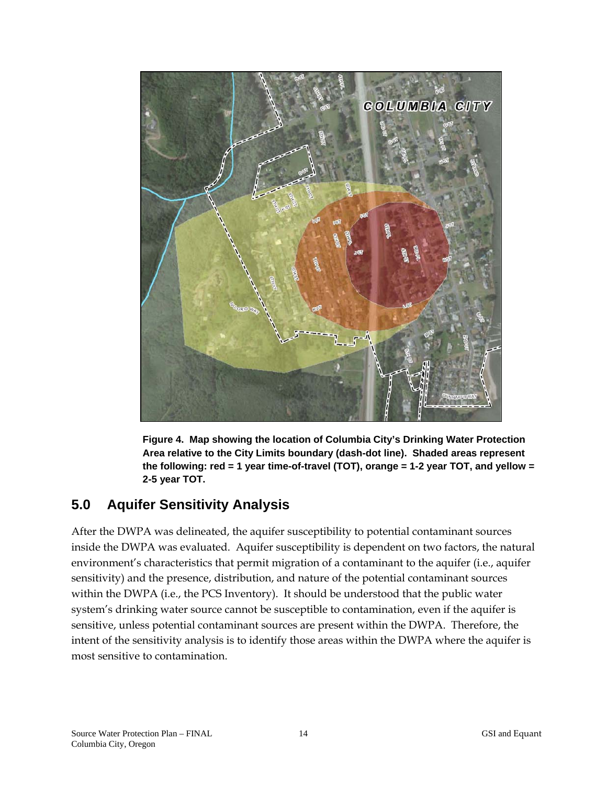

**Figure 4. Map showing the location of Columbia City's Drinking Water Protection Area relative to the City Limits boundary (dash-dot line). Shaded areas represent the following: red = 1 year time-of-travel (TOT), orange = 1-2 year TOT, and yellow = 2-5 year TOT.**

## **5.0 Aquifer Sensitivity Analysis**

After the DWPA was delineated, the aquifer susceptibility to potential contaminant sources inside the DWPA was evaluated. Aquifer susceptibility is dependent on two factors, the natural environment's characteristics that permit migration of a contaminant to the aquifer (i.e., aquifer sensitivity) and the presence, distribution, and nature of the potential contaminant sources within the DWPA (i.e., the PCS Inventory). It should be understood that the public water system's drinking water source cannot be susceptible to contamination, even if the aquifer is sensitive, unless potential contaminant sources are present within the DWPA. Therefore, the intent of the sensitivity analysis is to identify those areas within the DWPA where the aquifer is most sensitive to contamination.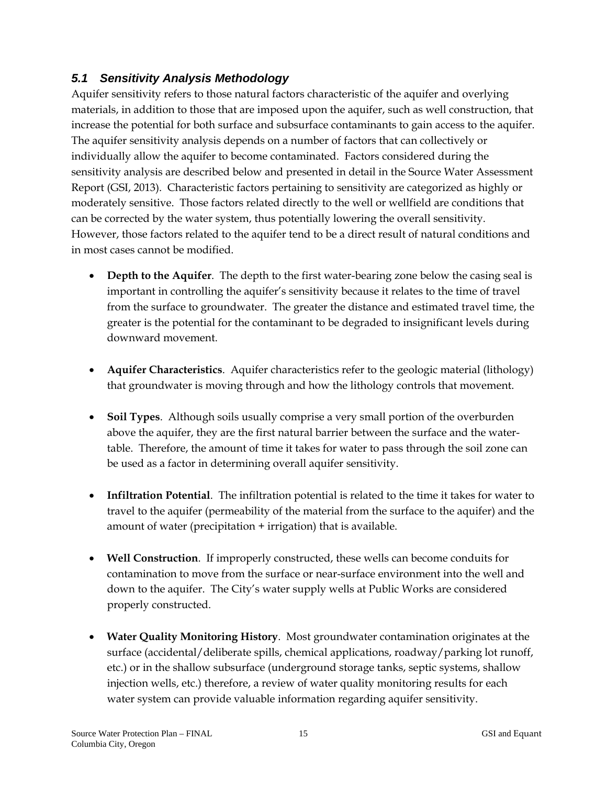## *5.1 Sensitivity Analysis Methodology*

Aquifer sensitivity refers to those natural factors characteristic of the aquifer and overlying materials, in addition to those that are imposed upon the aquifer, such as well construction, that increase the potential for both surface and subsurface contaminants to gain access to the aquifer. The aquifer sensitivity analysis depends on a number of factors that can collectively or individually allow the aquifer to become contaminated. Factors considered during the sensitivity analysis are described below and presented in detail in the Source Water Assessment Report (GSI, 2013). Characteristic factors pertaining to sensitivity are categorized as highly or moderately sensitive. Those factors related directly to the well or wellfield are conditions that can be corrected by the water system, thus potentially lowering the overall sensitivity. However, those factors related to the aquifer tend to be a direct result of natural conditions and in most cases cannot be modified.

- **Depth to the Aquifer**. The depth to the first water-bearing zone below the casing seal is important in controlling the aquifer's sensitivity because it relates to the time of travel from the surface to groundwater. The greater the distance and estimated travel time, the greater is the potential for the contaminant to be degraded to insignificant levels during downward movement.
- **Aquifer Characteristics**. Aquifer characteristics refer to the geologic material (lithology) that groundwater is moving through and how the lithology controls that movement.
- **Soil Types**. Although soils usually comprise a very small portion of the overburden above the aquifer, they are the first natural barrier between the surface and the watertable. Therefore, the amount of time it takes for water to pass through the soil zone can be used as a factor in determining overall aquifer sensitivity.
- **Infiltration Potential**. The infiltration potential is related to the time it takes for water to travel to the aquifer (permeability of the material from the surface to the aquifer) and the amount of water (precipitation + irrigation) that is available.
- **Well Construction**. If improperly constructed, these wells can become conduits for contamination to move from the surface or near-surface environment into the well and down to the aquifer. The City's water supply wells at Public Works are considered properly constructed.
- **Water Quality Monitoring History**. Most groundwater contamination originates at the surface (accidental/deliberate spills, chemical applications, roadway/parking lot runoff, etc.) or in the shallow subsurface (underground storage tanks, septic systems, shallow injection wells, etc.) therefore, a review of water quality monitoring results for each water system can provide valuable information regarding aquifer sensitivity.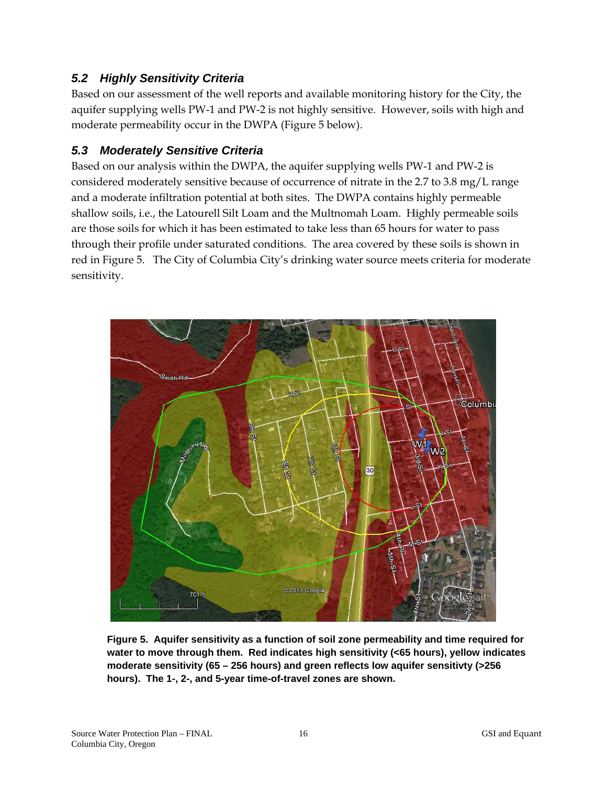## *5.2 Highly Sensitivity Criteria*

Based on our assessment of the well reports and available monitoring history for the City, the aquifer supplying wells PW-1 and PW-2 is not highly sensitive. However, soils with high and moderate permeability occur in the DWPA (Figure 5 below).

### *5.3 Moderately Sensitive Criteria*

Based on our analysis within the DWPA, the aquifer supplying wells PW-1 and PW-2 is considered moderately sensitive because of occurrence of nitrate in the 2.7 to 3.8 mg/L range and a moderate infiltration potential at both sites. The DWPA contains highly permeable shallow soils, i.e., the Latourell Silt Loam and the Multnomah Loam. Highly permeable soils are those soils for which it has been estimated to take less than 65 hours for water to pass through their profile under saturated conditions. The area covered by these soils is shown in red in Figure 5. The City of Columbia City's drinking water source meets criteria for moderate sensitivity.



**Figure 5. Aquifer sensitivity as a function of soil zone permeability and time required for water to move through them. Red indicates high sensitivity (<65 hours), yellow indicates moderate sensitivity (65 – 256 hours) and green reflects low aquifer sensitivty (>256 hours). The 1-, 2-, and 5-year time-of-travel zones are shown.**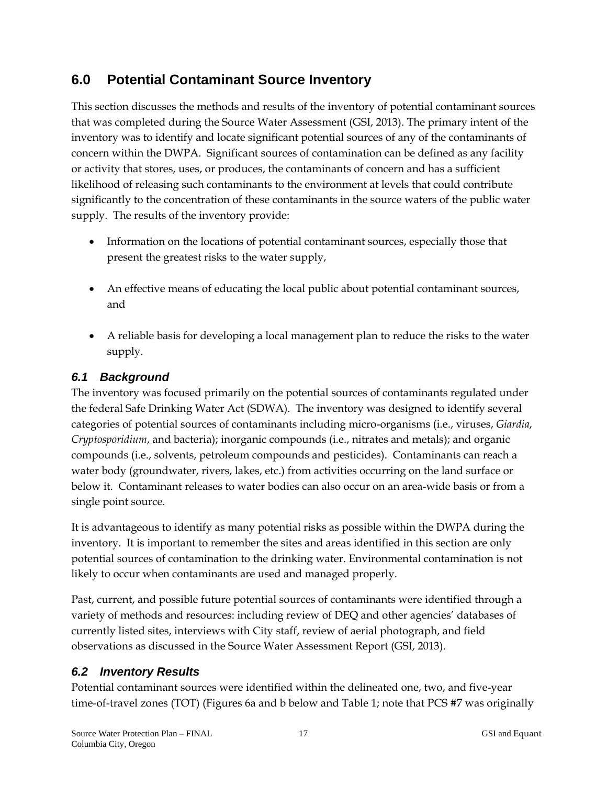## **6.0 Potential Contaminant Source Inventory**

This section discusses the methods and results of the inventory of potential contaminant sources that was completed during the Source Water Assessment (GSI, 2013). The primary intent of the inventory was to identify and locate significant potential sources of any of the contaminants of concern within the DWPA. Significant sources of contamination can be defined as any facility or activity that stores, uses, or produces, the contaminants of concern and has a sufficient likelihood of releasing such contaminants to the environment at levels that could contribute significantly to the concentration of these contaminants in the source waters of the public water supply. The results of the inventory provide:

- Information on the locations of potential contaminant sources, especially those that present the greatest risks to the water supply,
- An effective means of educating the local public about potential contaminant sources, and
- A reliable basis for developing a local management plan to reduce the risks to the water supply.

## *6.1 Background*

The inventory was focused primarily on the potential sources of contaminants regulated under the federal Safe Drinking Water Act (SDWA). The inventory was designed to identify several categories of potential sources of contaminants including micro-organisms (i.e., viruses, *Giardia*, *Cryptosporidium*, and bacteria); inorganic compounds (i.e., nitrates and metals); and organic compounds (i.e., solvents, petroleum compounds and pesticides). Contaminants can reach a water body (groundwater, rivers, lakes, etc.) from activities occurring on the land surface or below it. Contaminant releases to water bodies can also occur on an area-wide basis or from a single point source.

It is advantageous to identify as many potential risks as possible within the DWPA during the inventory. It is important to remember the sites and areas identified in this section are only potential sources of contamination to the drinking water. Environmental contamination is not likely to occur when contaminants are used and managed properly.

Past, current, and possible future potential sources of contaminants were identified through a variety of methods and resources: including review of DEQ and other agencies' databases of currently listed sites, interviews with City staff, review of aerial photograph, and field observations as discussed in the Source Water Assessment Report (GSI, 2013).

#### *6.2 Inventory Results*

Potential contaminant sources were identified within the delineated one, two, and five-year time-of-travel zones (TOT) (Figures 6a and b below and Table 1; note that PCS #7 was originally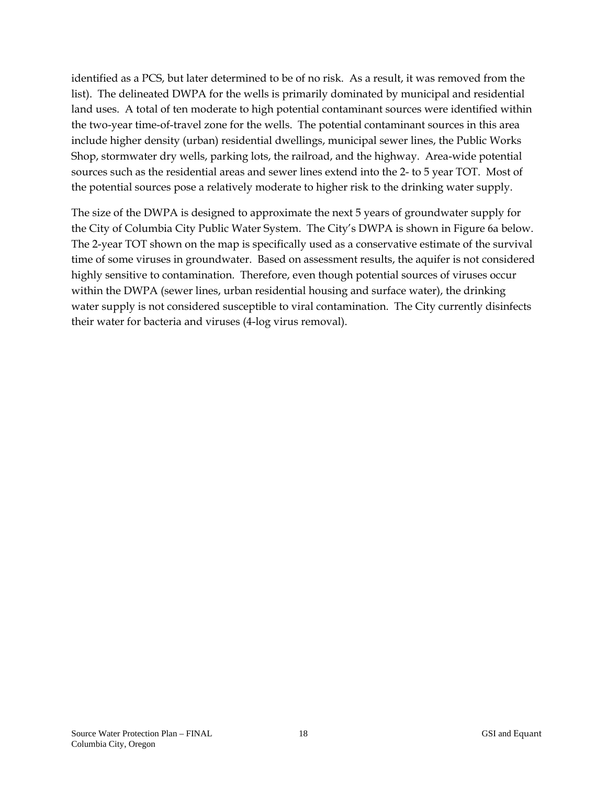identified as a PCS, but later determined to be of no risk. As a result, it was removed from the list). The delineated DWPA for the wells is primarily dominated by municipal and residential land uses. A total of ten moderate to high potential contaminant sources were identified within the two-year time-of-travel zone for the wells. The potential contaminant sources in this area include higher density (urban) residential dwellings, municipal sewer lines, the Public Works Shop, stormwater dry wells, parking lots, the railroad, and the highway. Area-wide potential sources such as the residential areas and sewer lines extend into the 2- to 5 year TOT. Most of the potential sources pose a relatively moderate to higher risk to the drinking water supply.

The size of the DWPA is designed to approximate the next 5 years of groundwater supply for the City of Columbia City Public Water System. The City's DWPA is shown in Figure 6a below. The 2-year TOT shown on the map is specifically used as a conservative estimate of the survival time of some viruses in groundwater. Based on assessment results, the aquifer is not considered highly sensitive to contamination. Therefore, even though potential sources of viruses occur within the DWPA (sewer lines, urban residential housing and surface water), the drinking water supply is not considered susceptible to viral contamination. The City currently disinfects their water for bacteria and viruses (4-log virus removal).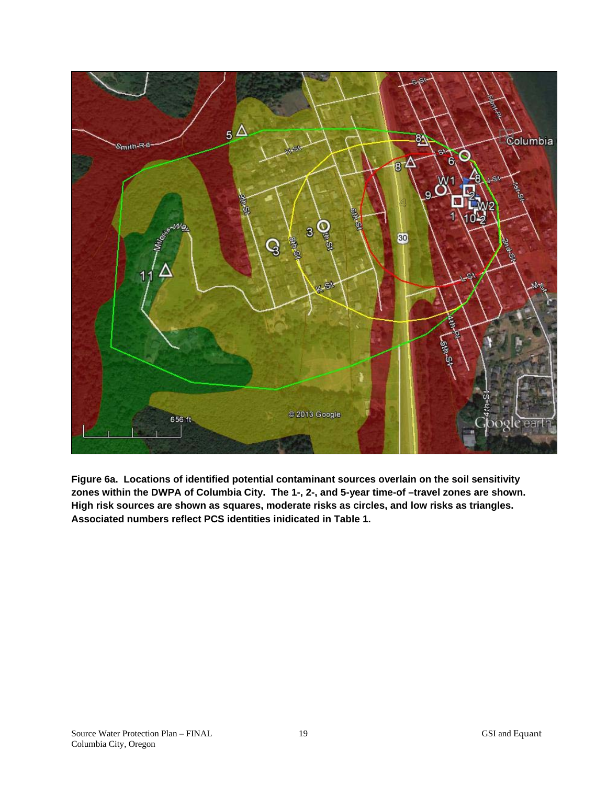

**Figure 6a. Locations of identified potential contaminant sources overlain on the soil sensitivity**  zones within the DWPA of Columbia City. The 1-, 2-, and 5-year time-of -travel zones are shown. **High risk sources are shown as squares, moderate risks as circles, and low risks as triangles. Associated numbers reflect PCS identities inidicated in Table 1.**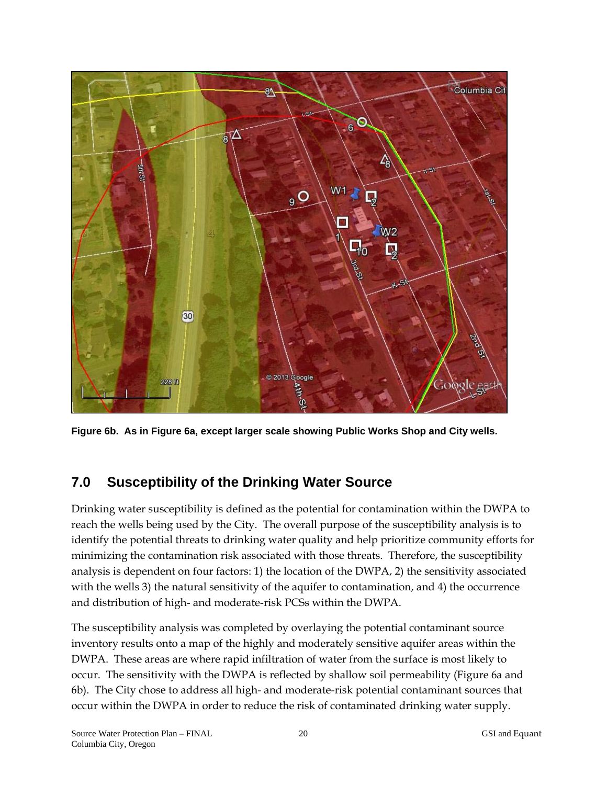

**Figure 6b. As in Figure 6a, except larger scale showing Public Works Shop and City wells.**

# **7.0 Susceptibility of the Drinking Water Source**

Drinking water susceptibility is defined as the potential for contamination within the DWPA to reach the wells being used by the City. The overall purpose of the susceptibility analysis is to identify the potential threats to drinking water quality and help prioritize community efforts for minimizing the contamination risk associated with those threats. Therefore, the susceptibility analysis is dependent on four factors: 1) the location of the DWPA, 2) the sensitivity associated with the wells 3) the natural sensitivity of the aquifer to contamination, and 4) the occurrence and distribution of high- and moderate-risk PCSs within the DWPA.

The susceptibility analysis was completed by overlaying the potential contaminant source inventory results onto a map of the highly and moderately sensitive aquifer areas within the DWPA. These areas are where rapid infiltration of water from the surface is most likely to occur. The sensitivity with the DWPA is reflected by shallow soil permeability (Figure 6a and 6b). The City chose to address all high- and moderate-risk potential contaminant sources that occur within the DWPA in order to reduce the risk of contaminated drinking water supply.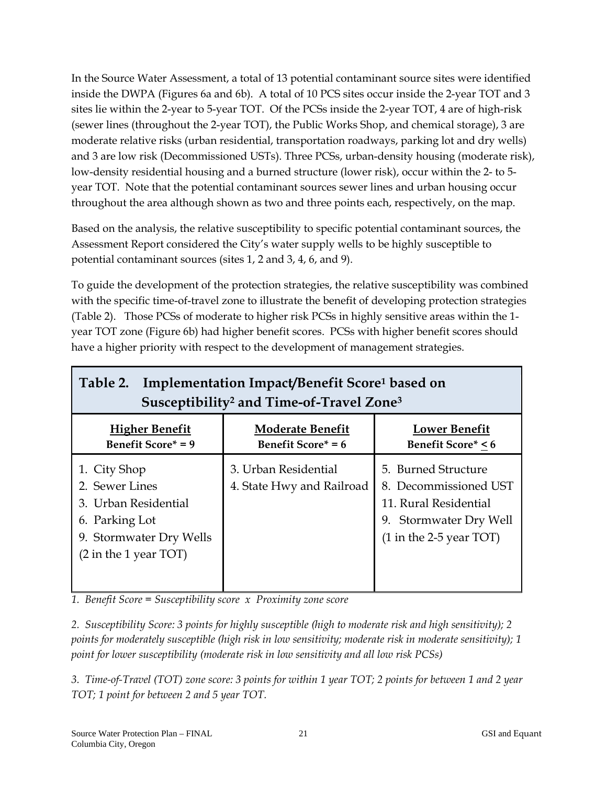In the Source Water Assessment, a total of 13 potential contaminant source sites were identified inside the DWPA (Figures 6a and 6b). A total of 10 PCS sites occur inside the 2-year TOT and 3 sites lie within the 2-year to 5-year TOT. Of the PCSs inside the 2-year TOT, 4 are of high-risk (sewer lines (throughout the 2-year TOT), the Public Works Shop, and chemical storage), 3 are moderate relative risks (urban residential, transportation roadways, parking lot and dry wells) and 3 are low risk (Decommissioned USTs). Three PCSs, urban-density housing (moderate risk), low-density residential housing and a burned structure (lower risk), occur within the 2- to 5 year TOT. Note that the potential contaminant sources sewer lines and urban housing occur throughout the area although shown as two and three points each, respectively, on the map.

Based on the analysis, the relative susceptibility to specific potential contaminant sources, the Assessment Report considered the City's water supply wells to be highly susceptible to potential contaminant sources (sites 1, 2 and 3, 4, 6, and 9).

To guide the development of the protection strategies, the relative susceptibility was combined with the specific time-of-travel zone to illustrate the benefit of developing protection strategies (Table 2). Those PCSs of moderate to higher risk PCSs in highly sensitive areas within the 1 year TOT zone (Figure 6b) had higher benefit scores. PCSs with higher benefit scores should have a higher priority with respect to the development of management strategies.

| Implementation Impact/Benefit Score <sup>1</sup> based on<br>Table 2.<br>Susceptibility <sup>2</sup> and Time-of-Travel Zone <sup>3</sup> |                                                      |                                                                                                                                                |  |  |
|-------------------------------------------------------------------------------------------------------------------------------------------|------------------------------------------------------|------------------------------------------------------------------------------------------------------------------------------------------------|--|--|
| <b>Higher Benefit</b><br><b>Benefit Score* = 9</b>                                                                                        | <b>Moderate Benefit</b><br><b>Benefit Score*</b> = 6 | <b>Lower Benefit</b><br><b>Benefit Score* &lt; 6</b>                                                                                           |  |  |
| 1. City Shop<br>2. Sewer Lines<br>3. Urban Residential<br>6. Parking Lot<br>9. Stormwater Dry Wells<br>$(2 \text{ in the 1 year } TOT)$   | 3. Urban Residential<br>4. State Hwy and Railroad    | 5. Burned Structure<br>8. Decommissioned UST<br>11. Rural Residential<br>9. Stormwater Dry Well<br>$(1 \text{ in the } 2-5 \text{ year } TOT)$ |  |  |

*1. Benefit Score = Susceptibility score x Proximity zone score* 

*2. Susceptibility Score: 3 points for highly susceptible (high to moderate risk and high sensitivity); 2 points for moderately susceptible (high risk in low sensitivity; moderate risk in moderate sensitivity); 1 point for lower susceptibility (moderate risk in low sensitivity and all low risk PCSs)* 

*3. Time-of-Travel (TOT) zone score: 3 points for within 1 year TOT; 2 points for between 1 and 2 year TOT; 1 point for between 2 and 5 year TOT.*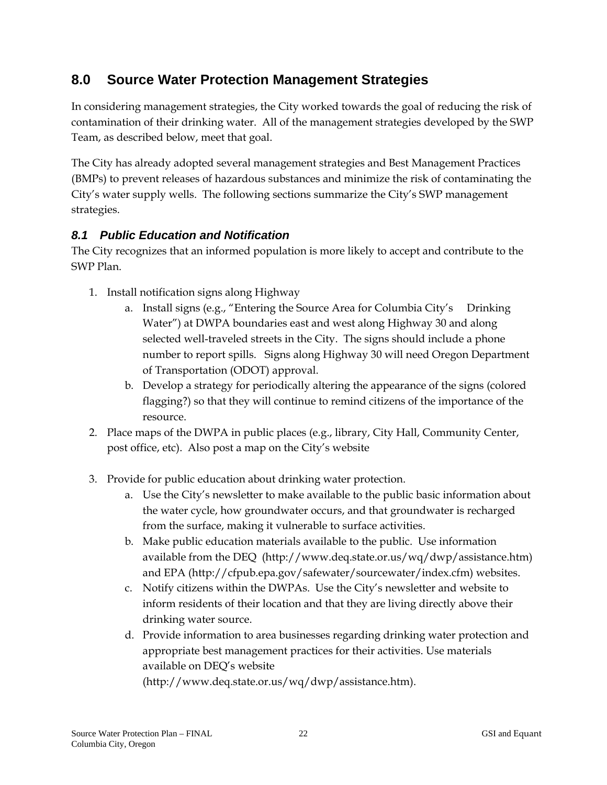# **8.0 Source Water Protection Management Strategies**

In considering management strategies, the City worked towards the goal of reducing the risk of contamination of their drinking water. All of the management strategies developed by the SWP Team, as described below, meet that goal.

The City has already adopted several management strategies and Best Management Practices (BMPs) to prevent releases of hazardous substances and minimize the risk of contaminating the City's water supply wells. The following sections summarize the City's SWP management strategies.

## *8.1 Public Education and Notification*

The City recognizes that an informed population is more likely to accept and contribute to the SWP Plan.

- 1. Install notification signs along Highway
	- a. Install signs (e.g., "Entering the Source Area for Columbia City's Drinking Water") at DWPA boundaries east and west along Highway 30 and along selected well-traveled streets in the City. The signs should include a phone number to report spills. Signs along Highway 30 will need Oregon Department of Transportation (ODOT) approval.
	- b. Develop a strategy for periodically altering the appearance of the signs (colored flagging?) so that they will continue to remind citizens of the importance of the resource.
- 2. Place maps of the DWPA in public places (e.g., library, City Hall, Community Center, post office, etc). Also post a map on the City's website
- 3. Provide for public education about drinking water protection.
	- a. Use the City's newsletter to make available to the public basic information about the water cycle, how groundwater occurs, and that groundwater is recharged from the surface, making it vulnerable to surface activities.
	- b. Make public education materials available to the public. Use information available from the DEQ (http://www.deq.state.or.us/wq/dwp/assistance.htm) and EPA (http://cfpub.epa.gov/safewater/sourcewater/index.cfm) websites.
	- c. Notify citizens within the DWPAs. Use the City's newsletter and website to inform residents of their location and that they are living directly above their drinking water source.
	- d. Provide information to area businesses regarding drinking water protection and appropriate best management practices for their activities. Use materials available on DEQ's website

(http://www.deq.state.or.us/wq/dwp/assistance.htm).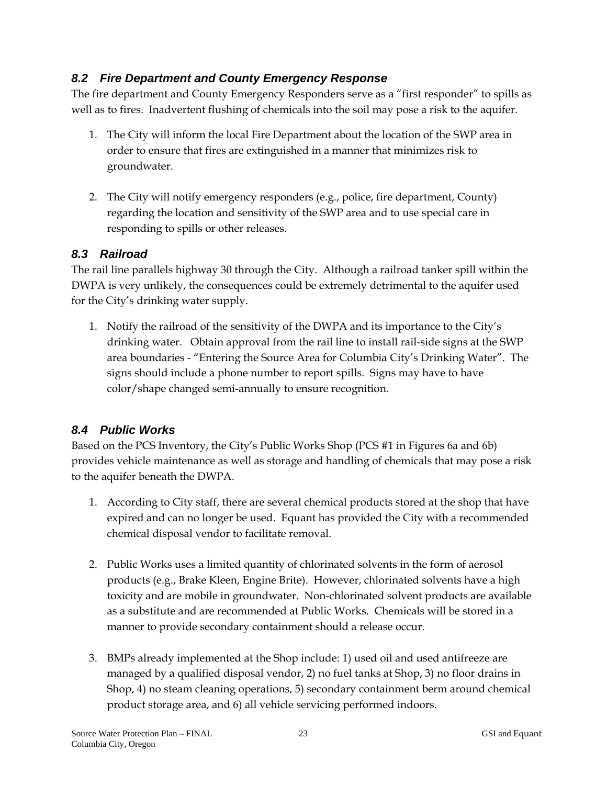#### *8.2 Fire Department and County Emergency Response*

The fire department and County Emergency Responders serve as a "first responder" to spills as well as to fires. Inadvertent flushing of chemicals into the soil may pose a risk to the aquifer.

- 1. The City will inform the local Fire Department about the location of the SWP area in order to ensure that fires are extinguished in a manner that minimizes risk to groundwater.
- 2. The City will notify emergency responders (e.g., police, fire department, County) regarding the location and sensitivity of the SWP area and to use special care in responding to spills or other releases.

#### *8.3 Railroad*

The rail line parallels highway 30 through the City. Although a railroad tanker spill within the DWPA is very unlikely, the consequences could be extremely detrimental to the aquifer used for the City's drinking water supply.

1. Notify the railroad of the sensitivity of the DWPA and its importance to the City's drinking water. Obtain approval from the rail line to install rail-side signs at the SWP area boundaries - "Entering the Source Area for Columbia City's Drinking Water". The signs should include a phone number to report spills. Signs may have to have color/shape changed semi-annually to ensure recognition.

#### *8.4 Public Works*

Based on the PCS Inventory, the City's Public Works Shop (PCS #1 in Figures 6a and 6b) provides vehicle maintenance as well as storage and handling of chemicals that may pose a risk to the aquifer beneath the DWPA.

- 1. According to City staff, there are several chemical products stored at the shop that have expired and can no longer be used. Equant has provided the City with a recommended chemical disposal vendor to facilitate removal.
- 2. Public Works uses a limited quantity of chlorinated solvents in the form of aerosol products (e.g., Brake Kleen, Engine Brite). However, chlorinated solvents have a high toxicity and are mobile in groundwater. Non-chlorinated solvent products are available as a substitute and are recommended at Public Works. Chemicals will be stored in a manner to provide secondary containment should a release occur.
- 3. BMPs already implemented at the Shop include: 1) used oil and used antifreeze are managed by a qualified disposal vendor, 2) no fuel tanks at Shop, 3) no floor drains in Shop, 4) no steam cleaning operations, 5) secondary containment berm around chemical product storage area, and 6) all vehicle servicing performed indoors.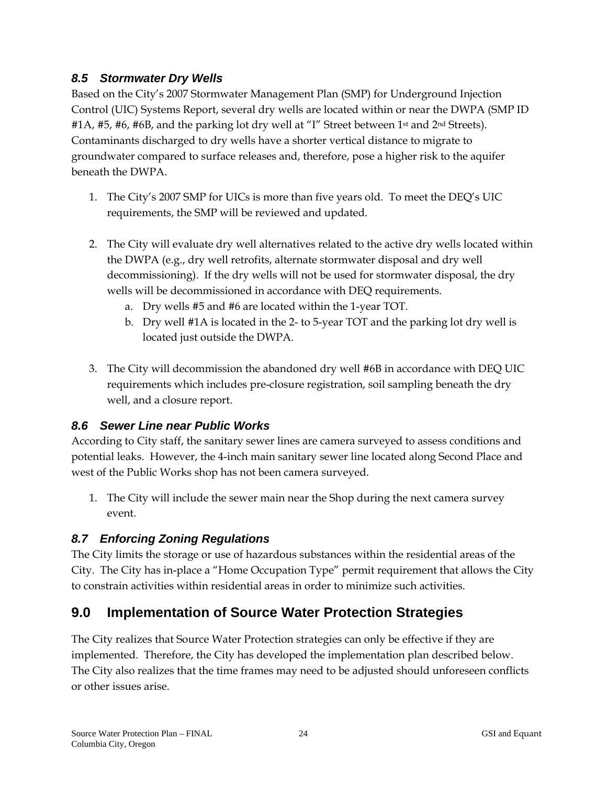#### *8.5 Stormwater Dry Wells*

Based on the City's 2007 Stormwater Management Plan (SMP) for Underground Injection Control (UIC) Systems Report, several dry wells are located within or near the DWPA (SMP ID #1A, #5, #6, #6B, and the parking lot dry well at "I" Street between 1<sup>st</sup> and 2<sup>nd</sup> Streets). Contaminants discharged to dry wells have a shorter vertical distance to migrate to groundwater compared to surface releases and, therefore, pose a higher risk to the aquifer beneath the DWPA.

- 1. The City's 2007 SMP for UICs is more than five years old. To meet the DEQ's UIC requirements, the SMP will be reviewed and updated.
- 2. The City will evaluate dry well alternatives related to the active dry wells located within the DWPA (e.g., dry well retrofits, alternate stormwater disposal and dry well decommissioning). If the dry wells will not be used for stormwater disposal, the dry wells will be decommissioned in accordance with DEQ requirements.
	- a. Dry wells #5 and #6 are located within the 1-year TOT.
	- b. Dry well #1A is located in the 2- to 5-year TOT and the parking lot dry well is located just outside the DWPA.
- 3. The City will decommission the abandoned dry well #6B in accordance with DEQ UIC requirements which includes pre-closure registration, soil sampling beneath the dry well, and a closure report.

#### *8.6 Sewer Line near Public Works*

According to City staff, the sanitary sewer lines are camera surveyed to assess conditions and potential leaks. However, the 4-inch main sanitary sewer line located along Second Place and west of the Public Works shop has not been camera surveyed.

1. The City will include the sewer main near the Shop during the next camera survey event.

## *8.7 Enforcing Zoning Regulations*

The City limits the storage or use of hazardous substances within the residential areas of the City. The City has in-place a "Home Occupation Type" permit requirement that allows the City to constrain activities within residential areas in order to minimize such activities.

# **9.0 Implementation of Source Water Protection Strategies**

The City realizes that Source Water Protection strategies can only be effective if they are implemented. Therefore, the City has developed the implementation plan described below. The City also realizes that the time frames may need to be adjusted should unforeseen conflicts or other issues arise.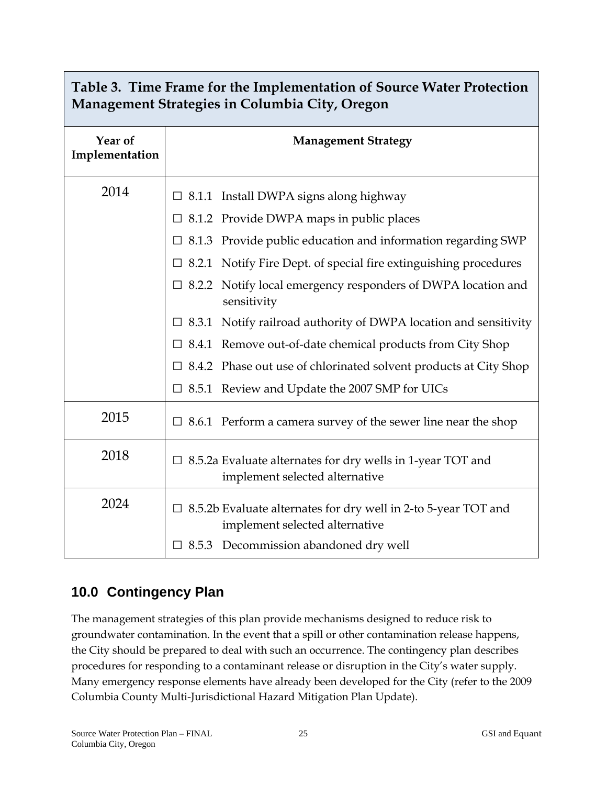| Tuble 9. This Flame for the implementation of bource water Flotechon<br>Management Strategies in Columbia City, Oregon |                                                                                                         |  |  |  |
|------------------------------------------------------------------------------------------------------------------------|---------------------------------------------------------------------------------------------------------|--|--|--|
| Year of<br>Implementation                                                                                              | <b>Management Strategy</b>                                                                              |  |  |  |
| 2014                                                                                                                   | $\Box$ 8.1.1 Install DWPA signs along highway                                                           |  |  |  |
|                                                                                                                        | $\Box$ 8.1.2 Provide DWPA maps in public places                                                         |  |  |  |
|                                                                                                                        | 8.1.3 Provide public education and information regarding SWP                                            |  |  |  |
|                                                                                                                        | 8.2.1 Notify Fire Dept. of special fire extinguishing procedures                                        |  |  |  |
|                                                                                                                        | Notify local emergency responders of DWPA location and<br>$\Box$ 8.2.2<br>sensitivity                   |  |  |  |
|                                                                                                                        | Notify railroad authority of DWPA location and sensitivity<br>$\Box$ 8.3.1                              |  |  |  |
|                                                                                                                        | $\Box$ 8.4.1 Remove out-of-date chemical products from City Shop                                        |  |  |  |
|                                                                                                                        | $\Box$ 8.4.2 Phase out use of chlorinated solvent products at City Shop                                 |  |  |  |
|                                                                                                                        | $\Box$ 8.5.1 Review and Update the 2007 SMP for UICs                                                    |  |  |  |
| 2015                                                                                                                   | $\Box$ 8.6.1 Perform a camera survey of the sewer line near the shop                                    |  |  |  |
| 2018                                                                                                                   | $\Box$ 8.5.2a Evaluate alternates for dry wells in 1-year TOT and<br>implement selected alternative     |  |  |  |
| 2024                                                                                                                   | $\Box$ 8.5.2b Evaluate alternates for dry well in 2-to 5-year TOT and<br>implement selected alternative |  |  |  |
|                                                                                                                        | $\Box$ 8.5.3 Decommission abandoned dry well                                                            |  |  |  |

# **Table 3. Time Frame for the Implementation of Source Water Protection**

# **10.0 Contingency Plan**

The management strategies of this plan provide mechanisms designed to reduce risk to groundwater contamination. In the event that a spill or other contamination release happens, the City should be prepared to deal with such an occurrence. The contingency plan describes procedures for responding to a contaminant release or disruption in the City's water supply. Many emergency response elements have already been developed for the City (refer to the 2009 Columbia County Multi-Jurisdictional Hazard Mitigation Plan Update).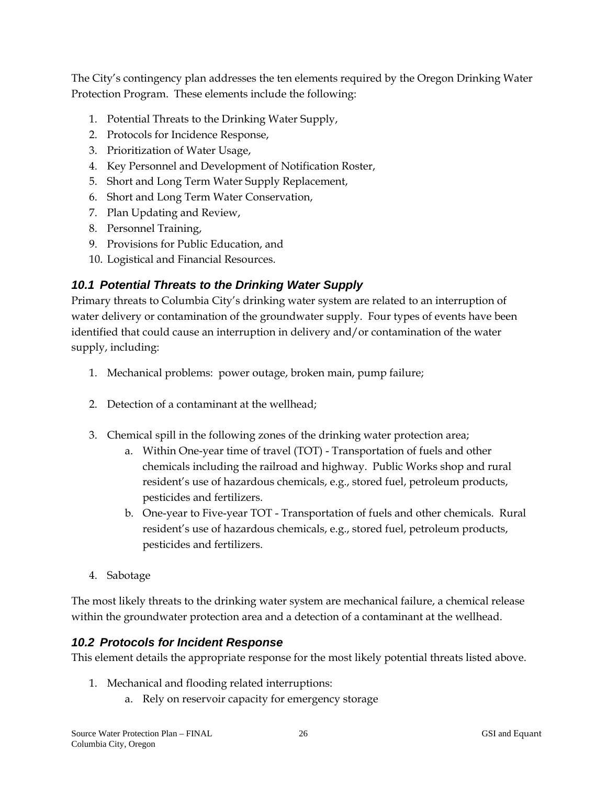The City's contingency plan addresses the ten elements required by the Oregon Drinking Water Protection Program. These elements include the following:

- 1. Potential Threats to the Drinking Water Supply,
- 2. Protocols for Incidence Response,
- 3. Prioritization of Water Usage,
- 4. Key Personnel and Development of Notification Roster,
- 5. Short and Long Term Water Supply Replacement,
- 6. Short and Long Term Water Conservation,
- 7. Plan Updating and Review,
- 8. Personnel Training,
- 9. Provisions for Public Education, and
- 10. Logistical and Financial Resources.

## *10.1 Potential Threats to the Drinking Water Supply*

Primary threats to Columbia City's drinking water system are related to an interruption of water delivery or contamination of the groundwater supply. Four types of events have been identified that could cause an interruption in delivery and/or contamination of the water supply, including:

- 1. Mechanical problems: power outage, broken main, pump failure;
- 2. Detection of a contaminant at the wellhead;
- 3. Chemical spill in the following zones of the drinking water protection area;
	- a. Within One-year time of travel (TOT) Transportation of fuels and other chemicals including the railroad and highway. Public Works shop and rural resident's use of hazardous chemicals, e.g., stored fuel, petroleum products, pesticides and fertilizers.
	- b. One-year to Five-year TOT Transportation of fuels and other chemicals. Rural resident's use of hazardous chemicals, e.g., stored fuel, petroleum products, pesticides and fertilizers.
- 4. Sabotage

The most likely threats to the drinking water system are mechanical failure, a chemical release within the groundwater protection area and a detection of a contaminant at the wellhead.

#### *10.2 Protocols for Incident Response*

This element details the appropriate response for the most likely potential threats listed above.

- 1. Mechanical and flooding related interruptions:
	- a. Rely on reservoir capacity for emergency storage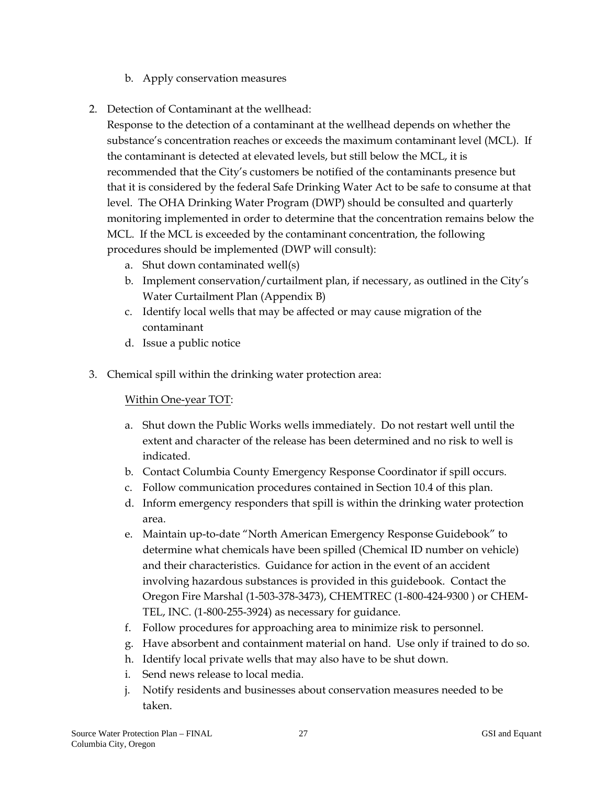- b. Apply conservation measures
- 2. Detection of Contaminant at the wellhead:

Response to the detection of a contaminant at the wellhead depends on whether the substance's concentration reaches or exceeds the maximum contaminant level (MCL). If the contaminant is detected at elevated levels, but still below the MCL, it is recommended that the City's customers be notified of the contaminants presence but that it is considered by the federal Safe Drinking Water Act to be safe to consume at that level. The OHA Drinking Water Program (DWP) should be consulted and quarterly monitoring implemented in order to determine that the concentration remains below the MCL. If the MCL is exceeded by the contaminant concentration, the following procedures should be implemented (DWP will consult):

- a. Shut down contaminated well(s)
- b. Implement conservation/curtailment plan, if necessary, as outlined in the City's Water Curtailment Plan (Appendix B)
- c. Identify local wells that may be affected or may cause migration of the contaminant
- d. Issue a public notice
- 3. Chemical spill within the drinking water protection area:

#### Within One-year TOT:

- a. Shut down the Public Works wells immediately. Do not restart well until the extent and character of the release has been determined and no risk to well is indicated.
- b. Contact Columbia County Emergency Response Coordinator if spill occurs.
- c. Follow communication procedures contained in Section 10.4 of this plan.
- d. Inform emergency responders that spill is within the drinking water protection area.
- e. Maintain up-to-date "North American Emergency Response Guidebook" to determine what chemicals have been spilled (Chemical ID number on vehicle) and their characteristics. Guidance for action in the event of an accident involving hazardous substances is provided in this guidebook. Contact the Oregon Fire Marshal (1-503-378-3473), CHEMTREC (1-800-424-9300 ) or CHEM-TEL, INC. (1-800-255-3924) as necessary for guidance.
- f. Follow procedures for approaching area to minimize risk to personnel.
- g. Have absorbent and containment material on hand. Use only if trained to do so.
- h. Identify local private wells that may also have to be shut down.
- i. Send news release to local media.
- j. Notify residents and businesses about conservation measures needed to be taken.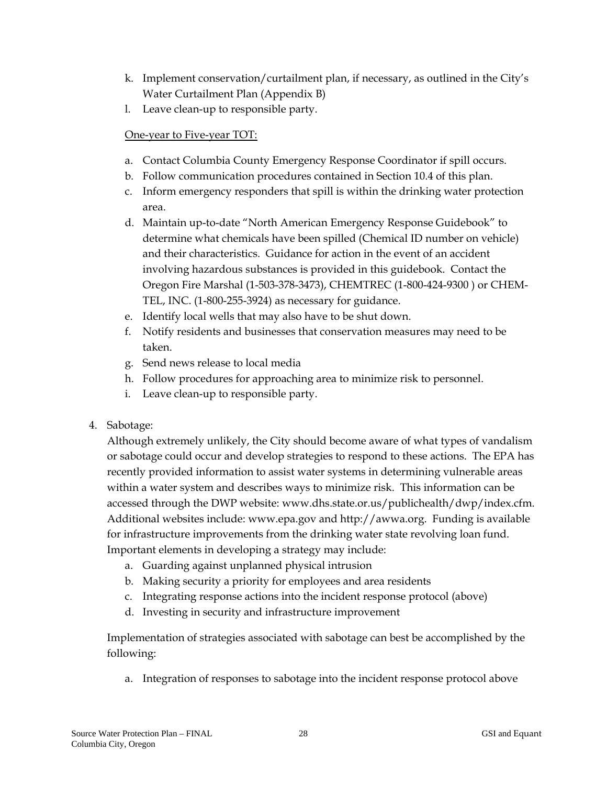- k. Implement conservation/curtailment plan, if necessary, as outlined in the City's Water Curtailment Plan (Appendix B)
- l. Leave clean-up to responsible party.

#### One-year to Five-year TOT:

- a. Contact Columbia County Emergency Response Coordinator if spill occurs.
- b. Follow communication procedures contained in Section 10.4 of this plan.
- c. Inform emergency responders that spill is within the drinking water protection area.
- d. Maintain up-to-date "North American Emergency Response Guidebook" to determine what chemicals have been spilled (Chemical ID number on vehicle) and their characteristics. Guidance for action in the event of an accident involving hazardous substances is provided in this guidebook. Contact the Oregon Fire Marshal (1-503-378-3473), CHEMTREC (1-800-424-9300 ) or CHEM-TEL, INC. (1-800-255-3924) as necessary for guidance.
- e. Identify local wells that may also have to be shut down.
- f. Notify residents and businesses that conservation measures may need to be taken.
- g. Send news release to local media
- h. Follow procedures for approaching area to minimize risk to personnel.
- i. Leave clean-up to responsible party.
- 4. Sabotage:

Although extremely unlikely, the City should become aware of what types of vandalism or sabotage could occur and develop strategies to respond to these actions. The EPA has recently provided information to assist water systems in determining vulnerable areas within a water system and describes ways to minimize risk. This information can be accessed through the DWP website: www.dhs.state.or.us/publichealth/dwp/index.cfm. Additional websites include: www.epa.gov and http://awwa.org. Funding is available for infrastructure improvements from the drinking water state revolving loan fund. Important elements in developing a strategy may include:

- a. Guarding against unplanned physical intrusion
- b. Making security a priority for employees and area residents
- c. Integrating response actions into the incident response protocol (above)
- d. Investing in security and infrastructure improvement

Implementation of strategies associated with sabotage can best be accomplished by the following:

a. Integration of responses to sabotage into the incident response protocol above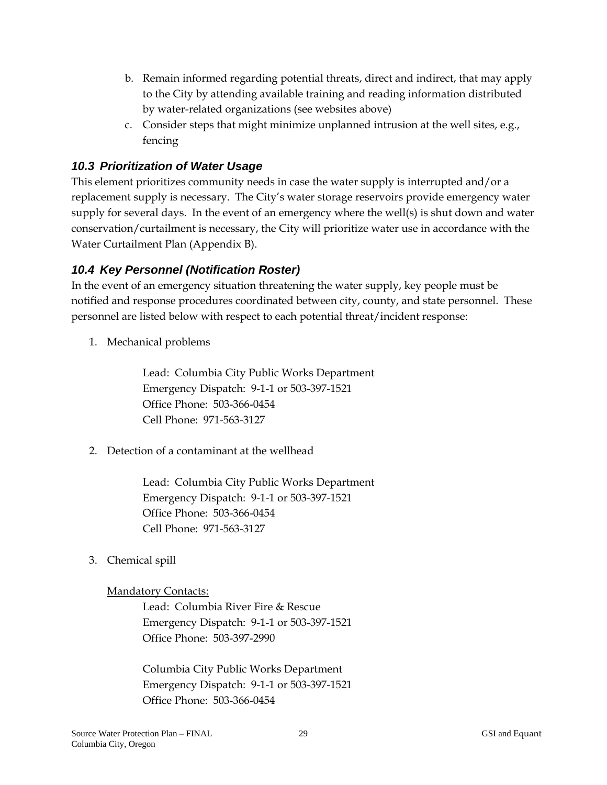- b. Remain informed regarding potential threats, direct and indirect, that may apply to the City by attending available training and reading information distributed by water-related organizations (see websites above)
- c. Consider steps that might minimize unplanned intrusion at the well sites, e.g., fencing

#### *10.3 Prioritization of Water Usage*

This element prioritizes community needs in case the water supply is interrupted and/or a replacement supply is necessary. The City's water storage reservoirs provide emergency water supply for several days. In the event of an emergency where the well(s) is shut down and water conservation/curtailment is necessary, the City will prioritize water use in accordance with the Water Curtailment Plan (Appendix B).

#### *10.4 Key Personnel (Notification Roster)*

In the event of an emergency situation threatening the water supply, key people must be notified and response procedures coordinated between city, county, and state personnel. These personnel are listed below with respect to each potential threat/incident response:

1. Mechanical problems

Lead: Columbia City Public Works Department Emergency Dispatch: 9-1-1 or 503-397-1521 Office Phone: 503-366-0454 Cell Phone: 971-563-3127

2. Detection of a contaminant at the wellhead

Lead: Columbia City Public Works Department Emergency Dispatch: 9-1-1 or 503-397-1521 Office Phone: 503-366-0454 Cell Phone: 971-563-3127

3. Chemical spill

#### Mandatory Contacts:

Lead: Columbia River Fire & Rescue Emergency Dispatch: 9-1-1 or 503-397-1521 Office Phone: 503-397-2990

Columbia City Public Works Department Emergency Dispatch: 9-1-1 or 503-397-1521 Office Phone: 503-366-0454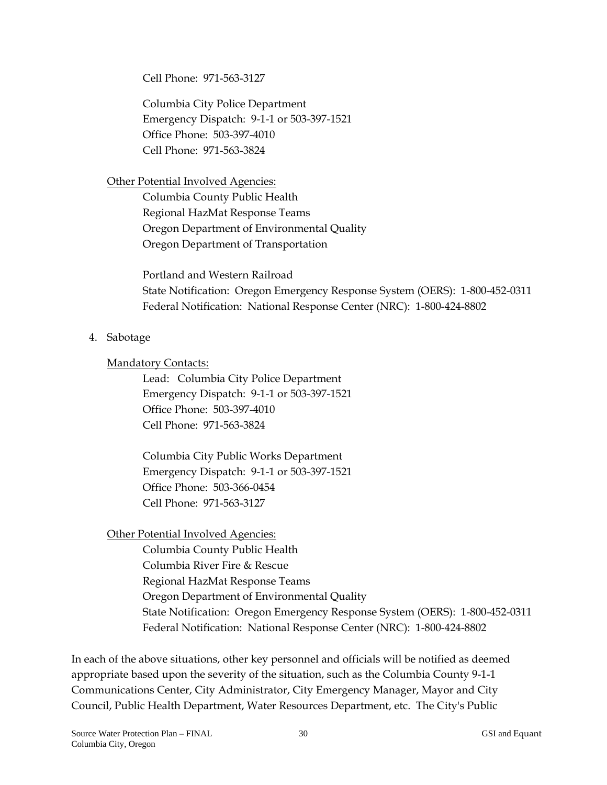Cell Phone: 971-563-3127

Columbia City Police Department Emergency Dispatch: 9-1-1 or 503-397-1521 Office Phone: 503-397-4010 Cell Phone: 971-563-3824

#### Other Potential Involved Agencies:

Columbia County Public Health Regional HazMat Response Teams Oregon Department of Environmental Quality Oregon Department of Transportation

Portland and Western Railroad State Notification: Oregon Emergency Response System (OERS): 1-800-452-0311 Federal Notification: National Response Center (NRC): 1-800-424-8802

#### 4. Sabotage

#### Mandatory Contacts:

Lead: Columbia City Police Department Emergency Dispatch: 9-1-1 or 503-397-1521 Office Phone: 503-397-4010 Cell Phone: 971-563-3824

Columbia City Public Works Department Emergency Dispatch: 9-1-1 or 503-397-1521 Office Phone: 503-366-0454 Cell Phone: 971-563-3127

#### Other Potential Involved Agencies:

Columbia County Public Health

Columbia River Fire & Rescue

- Regional HazMat Response Teams
- Oregon Department of Environmental Quality
- State Notification: Oregon Emergency Response System (OERS): 1-800-452-0311 Federal Notification: National Response Center (NRC): 1-800-424-8802

In each of the above situations, other key personnel and officials will be notified as deemed appropriate based upon the severity of the situation, such as the Columbia County 9-1-1 Communications Center, City Administrator, City Emergency Manager, Mayor and City Council, Public Health Department, Water Resources Department, etc. The City's Public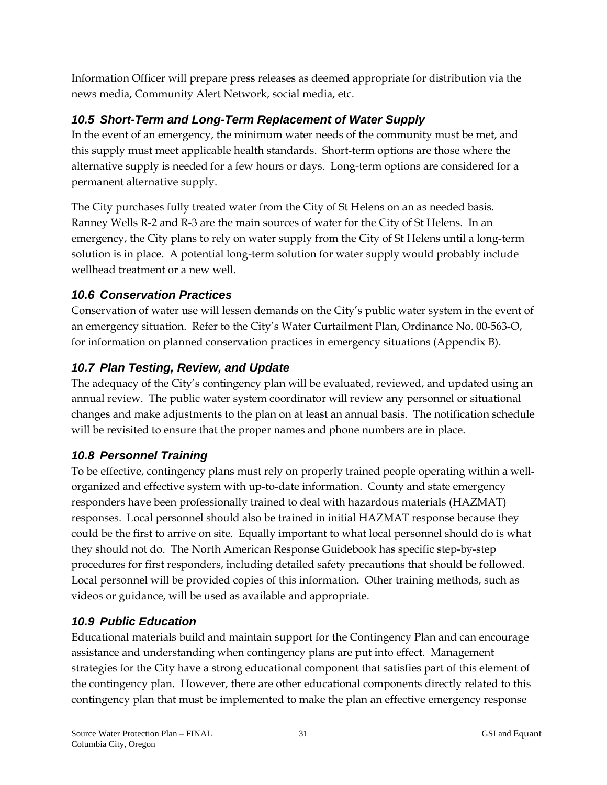Information Officer will prepare press releases as deemed appropriate for distribution via the news media, Community Alert Network, social media, etc.

## *10.5 Short-Term and Long-Term Replacement of Water Supply*

In the event of an emergency, the minimum water needs of the community must be met, and this supply must meet applicable health standards. Short-term options are those where the alternative supply is needed for a few hours or days. Long-term options are considered for a permanent alternative supply.

The City purchases fully treated water from the City of St Helens on an as needed basis. Ranney Wells R-2 and R-3 are the main sources of water for the City of St Helens. In an emergency, the City plans to rely on water supply from the City of St Helens until a long-term solution is in place. A potential long-term solution for water supply would probably include wellhead treatment or a new well.

#### *10.6 Conservation Practices*

Conservation of water use will lessen demands on the City's public water system in the event of an emergency situation. Refer to the City's Water Curtailment Plan, Ordinance No. 00-563-O, for information on planned conservation practices in emergency situations (Appendix B).

## *10.7 Plan Testing, Review, and Update*

The adequacy of the City's contingency plan will be evaluated, reviewed, and updated using an annual review. The public water system coordinator will review any personnel or situational changes and make adjustments to the plan on at least an annual basis. The notification schedule will be revisited to ensure that the proper names and phone numbers are in place.

## *10.8 Personnel Training*

To be effective, contingency plans must rely on properly trained people operating within a wellorganized and effective system with up-to-date information. County and state emergency responders have been professionally trained to deal with hazardous materials (HAZMAT) responses. Local personnel should also be trained in initial HAZMAT response because they could be the first to arrive on site. Equally important to what local personnel should do is what they should not do. The North American Response Guidebook has specific step-by-step procedures for first responders, including detailed safety precautions that should be followed. Local personnel will be provided copies of this information. Other training methods, such as videos or guidance, will be used as available and appropriate.

## *10.9 Public Education*

Educational materials build and maintain support for the Contingency Plan and can encourage assistance and understanding when contingency plans are put into effect. Management strategies for the City have a strong educational component that satisfies part of this element of the contingency plan. However, there are other educational components directly related to this contingency plan that must be implemented to make the plan an effective emergency response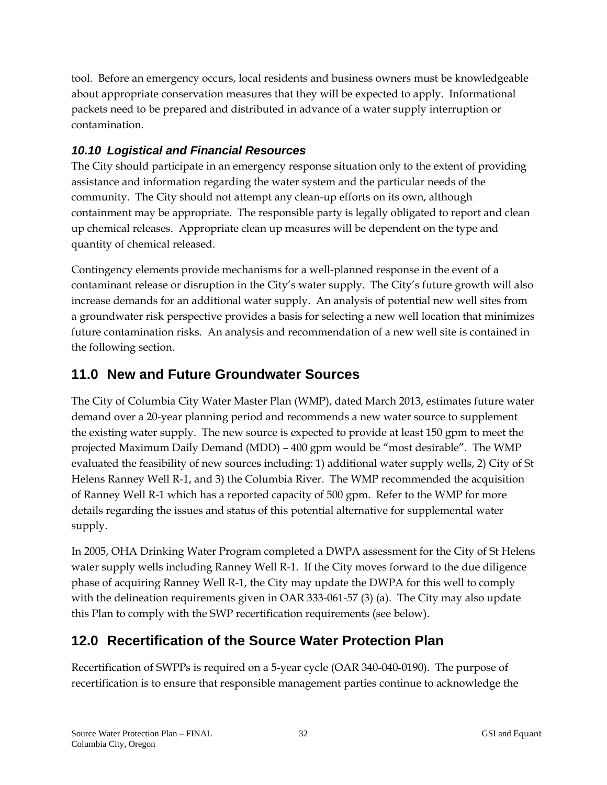tool. Before an emergency occurs, local residents and business owners must be knowledgeable about appropriate conservation measures that they will be expected to apply. Informational packets need to be prepared and distributed in advance of a water supply interruption or contamination.

## *10.10 Logistical and Financial Resources*

The City should participate in an emergency response situation only to the extent of providing assistance and information regarding the water system and the particular needs of the community. The City should not attempt any clean-up efforts on its own, although containment may be appropriate. The responsible party is legally obligated to report and clean up chemical releases. Appropriate clean up measures will be dependent on the type and quantity of chemical released.

Contingency elements provide mechanisms for a well-planned response in the event of a contaminant release or disruption in the City's water supply. The City's future growth will also increase demands for an additional water supply. An analysis of potential new well sites from a groundwater risk perspective provides a basis for selecting a new well location that minimizes future contamination risks. An analysis and recommendation of a new well site is contained in the following section.

# **11.0 New and Future Groundwater Sources**

The City of Columbia City Water Master Plan (WMP), dated March 2013, estimates future water demand over a 20-year planning period and recommends a new water source to supplement the existing water supply. The new source is expected to provide at least 150 gpm to meet the projected Maximum Daily Demand (MDD) – 400 gpm would be "most desirable". The WMP evaluated the feasibility of new sources including: 1) additional water supply wells, 2) City of St Helens Ranney Well R-1, and 3) the Columbia River. The WMP recommended the acquisition of Ranney Well R-1 which has a reported capacity of 500 gpm. Refer to the WMP for more details regarding the issues and status of this potential alternative for supplemental water supply.

In 2005, OHA Drinking Water Program completed a DWPA assessment for the City of St Helens water supply wells including Ranney Well R-1. If the City moves forward to the due diligence phase of acquiring Ranney Well R-1, the City may update the DWPA for this well to comply with the delineation requirements given in OAR 333-061-57 (3) (a). The City may also update this Plan to comply with the SWP recertification requirements (see below).

# **12.0 Recertification of the Source Water Protection Plan**

Recertification of SWPPs is required on a 5-year cycle (OAR 340-040-0190). The purpose of recertification is to ensure that responsible management parties continue to acknowledge the